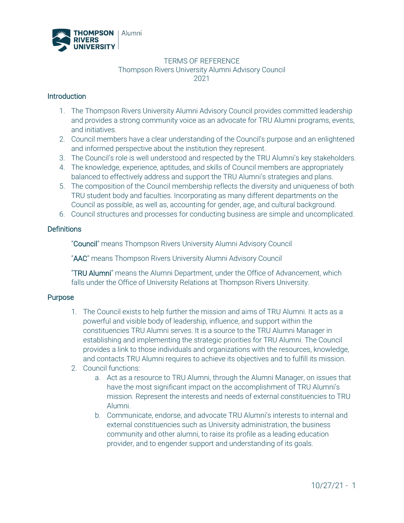

#### TERMS OF REFERENCE Thompson Rivers University Alumni Advisory Council 2021

### **Introduction**

- 1. The Thompson Rivers University Alumni Advisory Council provides committed leadership and provides a strong community voice as an advocate for TRU Alumni programs, events, and initiatives.
- 2. Council members have a clear understanding of the Council's purpose and an enlightened and informed perspective about the institution they represent.
- 3. The Council's role is well understood and respected by the TRU Alumni's key stakeholders.
- 4. The knowledge, experience, aptitudes, and skills of Council members are appropriately balanced to effectively address and support the TRU Alumni's strategies and plans.
- 5. The composition of the Council membership reflects the diversity and uniqueness of both TRU student body and faculties. Incorporating as many different departments on the Council as possible, as well as, accounting for gender, age, and cultural background.
- 6. Council structures and processes for conducting business are simple and uncomplicated.

### **Definitions**

"Council" means Thompson Rivers University Alumni Advisory Council

"AAC" means Thompson Rivers University Alumni Advisory Council

"TRU Alumni" means the Alumni Department, under the Office of Advancement, which falls under the Office of University Relations at Thompson Rivers University.

### Purpose

- 1. The Council exists to help further the mission and aims of TRU Alumni. It acts as a powerful and visible body of leadership, influence, and support within the constituencies TRU Alumni serves. It is a source to the TRU Alumni Manager in establishing and implementing the strategic priorities for TRU Alumni. The Council provides a link to those individuals and organizations with the resources, knowledge, and contacts TRU Alumni requires to achieve its objectives and to fulfill its mission.
- 2. Council functions:
	- a. Act as a resource to TRU Alumni, through the Alumni Manager, on issues that have the most significant impact on the accomplishment of TRU Alumni's mission. Represent the interests and needs of external constituencies to TRU Alumni.
	- b. Communicate, endorse, and advocate TRU Alumni's interests to internal and external constituencies such as University administration, the business community and other alumni, to raise its profile as a leading education provider, and to engender support and understanding of its goals.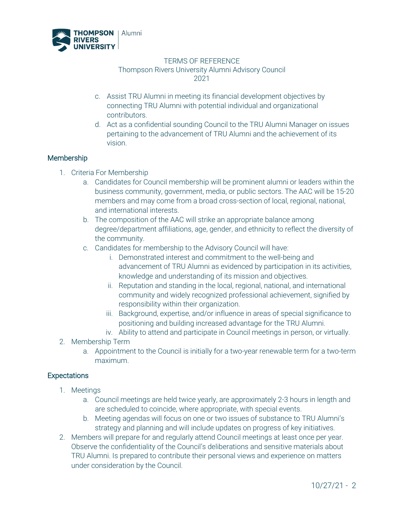

#### TERMS OF REFERENCE Thompson Rivers University Alumni Advisory Council 2021

- c. Assist TRU Alumni in meeting its financial development objectives by connecting TRU Alumni with potential individual and organizational contributors.
- d. Act as a confidential sounding Council to the TRU Alumni Manager on issues pertaining to the advancement of TRU Alumni and the achievement of its vision.

# **Membership**

- 1. Criteria For Membership
	- a. Candidates for Council membership will be prominent alumni or leaders within the business community, government, media, or public sectors. The AAC will be 15-20 members and may come from a broad cross-section of local, regional, national, and international interests.
	- b. The composition of the AAC will strike an appropriate balance among degree/department affiliations, age, gender, and ethnicity to reflect the diversity of the community.
	- c. Candidates for membership to the Advisory Council will have:
		- i. Demonstrated interest and commitment to the well-being and advancement of TRU Alumni as evidenced by participation in its activities, knowledge and understanding of its mission and objectives.
		- ii. Reputation and standing in the local, regional, national, and international community and widely recognized professional achievement, signified by responsibility within their organization.
		- iii. Background, expertise, and/or influence in areas of special significance to positioning and building increased advantage for the TRU Alumni.
		- iv. Ability to attend and participate in Council meetings in person, or virtually.
- 2. Membership Term
	- a. Appointment to the Council is initially for a two-year renewable term for a two-term maximum.

### **Expectations**

- 1. Meetings
	- a. Council meetings are held twice yearly, are approximately 2-3 hours in length and are scheduled to coincide, where appropriate, with special events.
	- b. Meeting agendas will focus on one or two issues of substance to TRU Alumni's strategy and planning and will include updates on progress of key initiatives.
- 2. Members will prepare for and regularly attend Council meetings at least once per year. Observe the confidentiality of the Council's deliberations and sensitive materials about TRU Alumni. Is prepared to contribute their personal views and experience on matters under consideration by the Council.